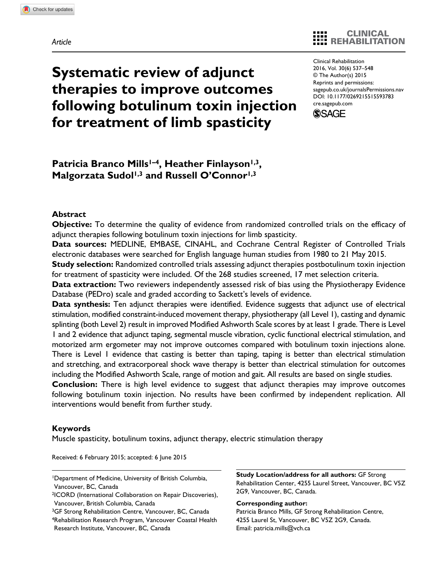*Article*

# **Systematic review of adjunct therapies to improve outcomes following botulinum toxin injection for treatment of limb spasticity**

### CLINICAL REHABILITATION

Clinical Rehabilitation 2016, Vol. 30(6) 537–548 © The Author(s) 2015 Reprints and permissions: sagepub.co.uk/journalsPermissions.nav DOI: 10.1177/0269215515593783 cre.sagepub.com



# Patricia Branco Mills<sup>1-4</sup>, Heather Finlayson<sup>1,3</sup>, Malgorzata Sudol<sup>1,3</sup> and Russell O'Connor<sup>1,3</sup>

### **Abstract**

**Objective:** To determine the quality of evidence from randomized controlled trials on the efficacy of adjunct therapies following botulinum toxin injections for limb spasticity.

**Data sources:** MEDLINE, EMBASE, CINAHL, and Cochrane Central Register of Controlled Trials electronic databases were searched for English language human studies from 1980 to 21 May 2015.

**Study selection:** Randomized controlled trials assessing adjunct therapies postbotulinum toxin injection for treatment of spasticity were included. Of the 268 studies screened, 17 met selection criteria.

**Data extraction:** Two reviewers independently assessed risk of bias using the Physiotherapy Evidence Database (PEDro) scale and graded according to Sackett's levels of evidence.

**Data synthesis:** Ten adjunct therapies were identified. Evidence suggests that adjunct use of electrical stimulation, modified constraint-induced movement therapy, physiotherapy (all Level 1), casting and dynamic splinting (both Level 2) result in improved Modified Ashworth Scale scores by at least 1 grade. There is Level 1 and 2 evidence that adjunct taping, segmental muscle vibration, cyclic functional electrical stimulation, and motorized arm ergometer may not improve outcomes compared with botulinum toxin injections alone. There is Level 1 evidence that casting is better than taping, taping is better than electrical stimulation and stretching, and extracorporeal shock wave therapy is better than electrical stimulation for outcomes including the Modified Ashworth Scale, range of motion and gait. All results are based on single studies.

**Conclusion:** There is high level evidence to suggest that adjunct therapies may improve outcomes following botulinum toxin injection. No results have been confirmed by independent replication. All interventions would benefit from further study.

### **Keywords**

Muscle spasticity, botulinum toxins, adjunct therapy, electric stimulation therapy

Received: 6 February 2015; accepted: 6 June 2015

1Department of Medicine, University of British Columbia, Vancouver, BC, Canada

<sup>3</sup>GF Strong Rehabilitation Centre, Vancouver, BC, Canada 4Rehabilitation Research Program, Vancouver Coastal Health Research Institute, Vancouver, BC, Canada

**Study Location/address for all authors:** GF Strong Rehabilitation Center, 4255 Laurel Street, Vancouver, BC V5Z 2G9, Vancouver, BC, Canada.

#### **Corresponding author:**

Patricia Branco Mills, GF Strong Rehabilitation Centre, 4255 Laurel St, Vancouver, BC V5Z 2G9, Canada. Email: [patricia.mills@vch.ca](mailto:patricia.mills@vch.ca)

<sup>2</sup>ICORD (International Collaboration on Repair Discoveries), Vancouver, British Columbia, Canada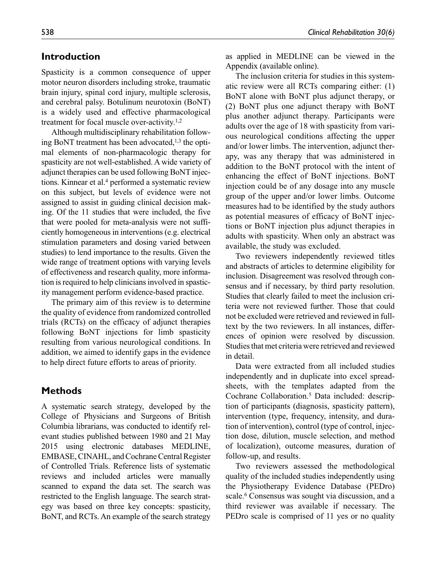# **Introduction**

Spasticity is a common consequence of upper motor neuron disorders including stroke, traumatic brain injury, spinal cord injury, multiple sclerosis, and cerebral palsy. Botulinum neurotoxin (BoNT) is a widely used and effective pharmacological treatment for focal muscle over-activity.1,2

Although multidisciplinary rehabilitation following BoNT treatment has been advocated,<sup>1,3</sup> the optimal elements of non-pharmacologic therapy for spasticity are not well-established. A wide variety of adjunct therapies can be used following BoNT injections. Kinnear et al.4 performed a systematic review on this subject, but levels of evidence were not assigned to assist in guiding clinical decision making. Of the 11 studies that were included, the five that were pooled for meta-analysis were not sufficiently homogeneous in interventions (e.g. electrical stimulation parameters and dosing varied between studies) to lend importance to the results. Given the wide range of treatment options with varying levels of effectiveness and research quality, more information is required to help clinicians involved in spasticity management perform evidence-based practice.

The primary aim of this review is to determine the quality of evidence from randomized controlled trials (RCTs) on the efficacy of adjunct therapies following BoNT injections for limb spasticity resulting from various neurological conditions. In addition, we aimed to identify gaps in the evidence to help direct future efforts to areas of priority.

# **Methods**

A systematic search strategy, developed by the College of Physicians and Surgeons of British Columbia librarians, was conducted to identify relevant studies published between 1980 and 21 May 2015 using electronic databases MEDLINE, EMBASE, CINAHL, and Cochrane Central Register of Controlled Trials. Reference lists of systematic reviews and included articles were manually scanned to expand the data set. The search was restricted to the English language. The search strategy was based on three key concepts: spasticity, BoNT, and RCTs. An example of the search strategy as applied in MEDLINE can be viewed in the Appendix (available online).

The inclusion criteria for studies in this systematic review were all RCTs comparing either: (1) BoNT alone with BoNT plus adjunct therapy, or (2) BoNT plus one adjunct therapy with BoNT plus another adjunct therapy. Participants were adults over the age of 18 with spasticity from various neurological conditions affecting the upper and/or lower limbs. The intervention, adjunct therapy, was any therapy that was administered in addition to the BoNT protocol with the intent of enhancing the effect of BoNT injections. BoNT injection could be of any dosage into any muscle group of the upper and/or lower limbs. Outcome measures had to be identified by the study authors as potential measures of efficacy of BoNT injections or BoNT injection plus adjunct therapies in adults with spasticity. When only an abstract was available, the study was excluded.

Two reviewers independently reviewed titles and abstracts of articles to determine eligibility for inclusion. Disagreement was resolved through consensus and if necessary, by third party resolution. Studies that clearly failed to meet the inclusion criteria were not reviewed further. Those that could not be excluded were retrieved and reviewed in fulltext by the two reviewers. In all instances, differences of opinion were resolved by discussion. Studies that met criteria were retrieved and reviewed in detail.

Data were extracted from all included studies independently and in duplicate into excel spreadsheets, with the templates adapted from the Cochrane Collaboration.5 Data included: description of participants (diagnosis, spasticity pattern), intervention (type, frequency, intensity, and duration of intervention), control (type of control, injection dose, dilution, muscle selection, and method of localization), outcome measures, duration of follow-up, and results.

Two reviewers assessed the methodological quality of the included studies independently using the Physiotherapy Evidence Database (PEDro) scale.<sup>6</sup> Consensus was sought via discussion, and a third reviewer was available if necessary. The PEDro scale is comprised of 11 yes or no quality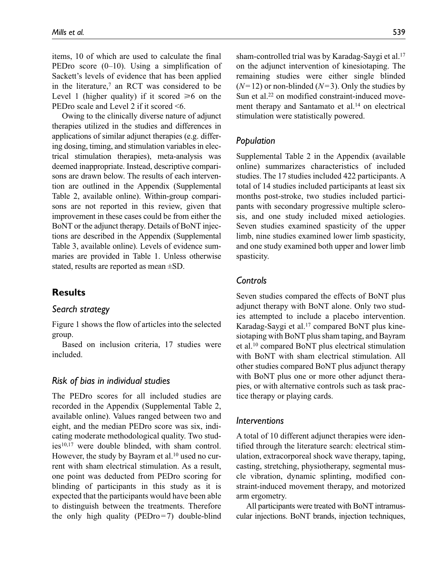items, 10 of which are used to calculate the final PEDro score (0–10). Using a simplification of Sackett's levels of evidence that has been applied in the literature, $7$  an RCT was considered to be Level 1 (higher quality) if it scored  $\geq 6$  on the PEDro scale and Level 2 if it scored <6.

Owing to the clinically diverse nature of adjunct therapies utilized in the studies and differences in applications of similar adjunct therapies (e.g. differing dosing, timing, and stimulation variables in electrical stimulation therapies), meta-analysis was deemed inappropriate. Instead, descriptive comparisons are drawn below. The results of each intervention are outlined in the Appendix (Supplemental Table 2, available online). Within-group comparisons are not reported in this review, given that improvement in these cases could be from either the BoNT or the adjunct therapy. Details of BoNT injections are described in the Appendix (Supplemental Table 3, available online). Levels of evidence summaries are provided in Table 1. Unless otherwise stated, results are reported as mean ±SD.

### **Results**

### *Search strategy*

Figure 1 shows the flow of articles into the selected group.

Based on inclusion criteria, 17 studies were included.

#### *Risk of bias in individual studies*

The PEDro scores for all included studies are recorded in the Appendix (Supplemental Table 2, available online). Values ranged between two and eight, and the median PEDro score was six, indicating moderate methodological quality. Two stud $ies<sup>10,17</sup>$  were double blinded, with sham control. However, the study by Bayram et al.<sup>10</sup> used no current with sham electrical stimulation. As a result, one point was deducted from PEDro scoring for blinding of participants in this study as it is expected that the participants would have been able to distinguish between the treatments. Therefore the only high quality (PEDro=7) double-blind sham-controlled trial was by Karadag-Saygi et al.<sup>17</sup> on the adjunct intervention of kinesiotaping. The remaining studies were either single blinded  $(N=12)$  or non-blinded  $(N=3)$ . Only the studies by Sun et al.<sup>22</sup> on modified constraint-induced movement therapy and Santamato et al.<sup>14</sup> on electrical stimulation were statistically powered.

### *Population*

Supplemental Table 2 in the Appendix (available online) summarizes characteristics of included studies. The 17 studies included 422 participants. A total of 14 studies included participants at least six months post-stroke, two studies included participants with secondary progressive multiple sclerosis, and one study included mixed aetiologies. Seven studies examined spasticity of the upper limb, nine studies examined lower limb spasticity, and one study examined both upper and lower limb spasticity.

#### *Controls*

Seven studies compared the effects of BoNT plus adjunct therapy with BoNT alone. Only two studies attempted to include a placebo intervention. Karadag-Saygi et al.<sup>17</sup> compared BoNT plus kinesiotaping with BoNT plus sham taping, and Bayram et al.10 compared BoNT plus electrical stimulation with BoNT with sham electrical stimulation. All other studies compared BoNT plus adjunct therapy with BoNT plus one or more other adjunct therapies, or with alternative controls such as task practice therapy or playing cards.

#### *Interventions*

A total of 10 different adjunct therapies were identified through the literature search: electrical stimulation, extracorporeal shock wave therapy, taping, casting, stretching, physiotherapy, segmental muscle vibration, dynamic splinting, modified constraint-induced movement therapy, and motorized arm ergometry.

All participants were treated with BoNT intramuscular injections. BoNT brands, injection techniques,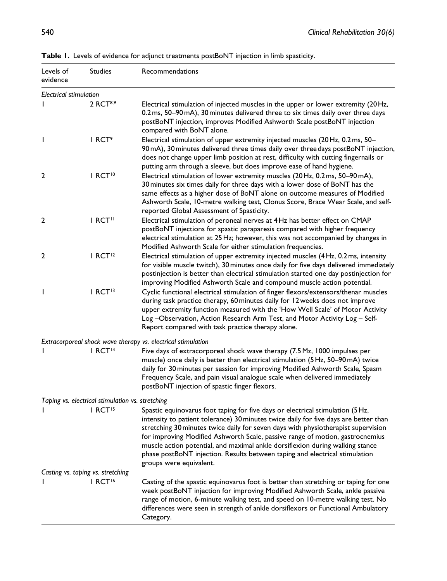| Levels of<br>evidence         | <b>Studies</b>                                   | Recommendations                                                                                                                                                                                                                                                                                                                                                                                                                                                                                                                         |
|-------------------------------|--------------------------------------------------|-----------------------------------------------------------------------------------------------------------------------------------------------------------------------------------------------------------------------------------------------------------------------------------------------------------------------------------------------------------------------------------------------------------------------------------------------------------------------------------------------------------------------------------------|
| <b>Electrical stimulation</b> |                                                  |                                                                                                                                                                                                                                                                                                                                                                                                                                                                                                                                         |
| I                             | $2$ RCT $8,9$                                    | Electrical stimulation of injected muscles in the upper or lower extremity (20 Hz,<br>0.2 ms, 50-90 mA), 30 minutes delivered three to six times daily over three days<br>postBoNT injection, improves Modified Ashworth Scale postBoNT injection<br>compared with BoNT alone.                                                                                                                                                                                                                                                          |
| $\mathbf{I}$                  | I RCT <sup>9</sup>                               | Electrical stimulation of upper extremity injected muscles (20 Hz, 0.2 ms, 50-<br>90 mA), 30 minutes delivered three times daily over three days postBoNT injection,<br>does not change upper limb position at rest, difficulty with cutting fingernails or<br>putting arm through a sleeve, but does improve ease of hand hygiene.                                                                                                                                                                                                     |
| 2                             | I RCT <sup>10</sup>                              | Electrical stimulation of lower extremity muscles (20 Hz, 0.2 ms, 50-90 mA),<br>30 minutes six times daily for three days with a lower dose of BoNT has the<br>same effects as a higher dose of BoNT alone on outcome measures of Modified<br>Ashworth Scale, 10-metre walking test, Clonus Score, Brace Wear Scale, and self-<br>reported Global Assessment of Spasticity.                                                                                                                                                             |
| 2                             | I RCT <sup>II</sup>                              | Electrical stimulation of peroneal nerves at 4Hz has better effect on CMAP<br>postBoNT injections for spastic paraparesis compared with higher frequency<br>electrical stimulation at 25 Hz; however, this was not accompanied by changes in<br>Modified Ashworth Scale for either stimulation frequencies.                                                                                                                                                                                                                             |
| 2                             | I RCT <sup>12</sup>                              | Electrical stimulation of upper extremity injected muscles (4Hz, 0.2ms, intensity<br>for visible muscle twitch), 30 minutes once daily for five days delivered immediately<br>postinjection is better than electrical stimulation started one day postinjection for<br>improving Modified Ashworth Scale and compound muscle action potential.                                                                                                                                                                                          |
| $\mathsf{l}$                  | I RCT <sup>13</sup>                              | Cyclic functional electrical stimulation of finger flexors/extensors/thenar muscles<br>during task practice therapy, 60 minutes daily for 12 weeks does not improve<br>upper extremity function measured with the 'How Well Scale' of Motor Activity<br>Log-Observation, Action Research Arm Test, and Motor Activity Log-Self-<br>Report compared with task practice therapy alone.                                                                                                                                                    |
|                               |                                                  | Extracorporeal shock wave therapy vs. electrical stimulation                                                                                                                                                                                                                                                                                                                                                                                                                                                                            |
| I                             | I RCT <sup>14</sup>                              | Five days of extracorporeal shock wave therapy (7.5 Mz, 1000 impulses per<br>muscle) once daily is better than electrical stimulation (5 Hz, 50-90 mA) twice<br>daily for 30 minutes per session for improving Modified Ashworth Scale, Spasm<br>Frequency Scale, and pain visual analogue scale when delivered immediately<br>postBoNT injection of spastic finger flexors.                                                                                                                                                            |
|                               | Taping vs. electrical stimulation vs. stretching |                                                                                                                                                                                                                                                                                                                                                                                                                                                                                                                                         |
| L                             | I RCT <sup>15</sup>                              | Spastic equinovarus foot taping for five days or electrical stimulation (5 Hz,<br>intensity to patient tolerance) 30 minutes twice daily for five days are better than<br>stretching 30 minutes twice daily for seven days with physiotherapist supervision<br>for improving Modified Ashworth Scale, passive range of motion, gastrocnemius<br>muscle action potential, and maximal ankle dorsiflexion during walking stance<br>phase postBoNT injection. Results between taping and electrical stimulation<br>groups were equivalent. |
|                               | Casting vs. taping vs. stretching                |                                                                                                                                                                                                                                                                                                                                                                                                                                                                                                                                         |
|                               | I RCT <sup>16</sup>                              | Casting of the spastic equinovarus foot is better than stretching or taping for one<br>week postBoNT injection for improving Modified Ashworth Scale, ankle passive<br>range of motion, 6-minute walking test, and speed on 10-metre walking test. No<br>differences were seen in strength of ankle dorsiflexors or Functional Ambulatory<br>Category.                                                                                                                                                                                  |

**Table 1.** Levels of evidence for adjunct treatments postBoNT injection in limb spasticity.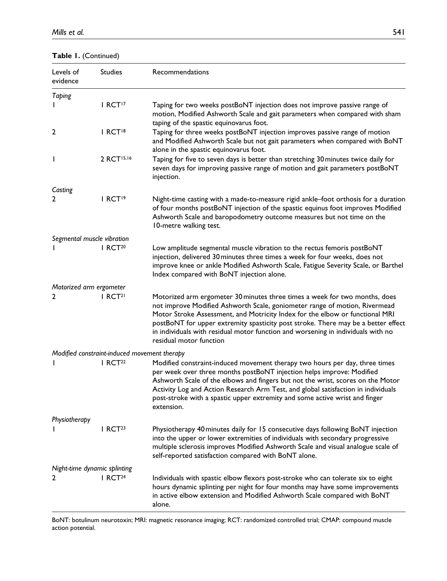|  | Table 1. (Continued) |
|--|----------------------|
|--|----------------------|

| Levels of<br>evidence   | <b>Studies</b>                               | Recommendations                                                                                                                                                                                                                                                                                                                                                                                                                              |
|-------------------------|----------------------------------------------|----------------------------------------------------------------------------------------------------------------------------------------------------------------------------------------------------------------------------------------------------------------------------------------------------------------------------------------------------------------------------------------------------------------------------------------------|
| <b>Taping</b>           |                                              |                                                                                                                                                                                                                                                                                                                                                                                                                                              |
|                         | I RCT <sup>17</sup>                          | Taping for two weeks postBoNT injection does not improve passive range of<br>motion, Modified Ashworth Scale and gait parameters when compared with sham<br>taping of the spastic equinovarus foot.                                                                                                                                                                                                                                          |
| 2                       | I RCT <sup>18</sup>                          | Taping for three weeks postBoNT injection improves passive range of motion<br>and Modified Ashworth Scale but not gait parameters when compared with BoNT<br>alone in the spastic equinovarus foot.                                                                                                                                                                                                                                          |
| I.                      | 2 RCT <sup>15,16</sup>                       | Taping for five to seven days is better than stretching 30 minutes twice daily for<br>seven days for improving passive range of motion and gait parameters postBoNT<br>injection.                                                                                                                                                                                                                                                            |
| Casting                 |                                              |                                                                                                                                                                                                                                                                                                                                                                                                                                              |
| 2                       | I RCT <sup>19</sup>                          | Night-time casting with a made-to-measure rigid ankle-foot orthosis for a duration<br>of four months postBoNT injection of the spastic equinus foot improves Modified<br>Ashworth Scale and baropodometry outcome measures but not time on the<br>10-metre walking test.                                                                                                                                                                     |
|                         | Segmental muscle vibration                   |                                                                                                                                                                                                                                                                                                                                                                                                                                              |
|                         | I RCT <sup>20</sup>                          | Low amplitude segmental muscle vibration to the rectus femoris postBoNT<br>injection, delivered 30 minutes three times a week for four weeks, does not<br>improve knee or ankle Modified Ashworth Scale, Fatigue Severity Scale, or Barthel<br>Index compared with BoNT injection alone.                                                                                                                                                     |
| Motorized arm ergometer |                                              |                                                                                                                                                                                                                                                                                                                                                                                                                                              |
| 2                       | I RCT <sup>21</sup>                          | Motorized arm ergometer 30 minutes three times a week for two months, does<br>not improve Modified Ashworth Scale, goniometer range of motion, Rivermead<br>Motor Stroke Assessment, and Motricity Index for the elbow or functional MRI<br>postBoNT for upper extremity spasticity post stroke. There may be a better effect<br>in individuals with residual motor function and worsening in individuals with no<br>residual motor function |
|                         | Modified constraint-induced movement therapy |                                                                                                                                                                                                                                                                                                                                                                                                                                              |
|                         | I RCT <sup>22</sup>                          | Modified constraint-induced movement therapy two hours per day, three times<br>per week over three months postBoNT injection helps improve: Modified<br>Ashworth Scale of the elbows and fingers but not the wrist, scores on the Motor<br>Activity Log and Action Research Arm Test, and global satisfaction in individuals<br>post-stroke with a spastic upper extremity and some active wrist and finger<br>extension.                    |
| Physiotherapy           |                                              |                                                                                                                                                                                                                                                                                                                                                                                                                                              |
|                         | I RCT <sup>23</sup>                          | Physiotherapy 40 minutes daily for 15 consecutive days following BoNT injection<br>into the upper or lower extremities of individuals with secondary progressive<br>multiple sclerosis improves Modified Ashworth Scale and visual analogue scale of<br>self-reported satisfaction compared with BoNT alone.                                                                                                                                 |
|                         | Night-time dynamic splinting                 |                                                                                                                                                                                                                                                                                                                                                                                                                                              |
| 2                       | I RCT <sup>24</sup>                          | Individuals with spastic elbow flexors post-stroke who can tolerate six to eight<br>hours dynamic splinting per night for four months may have some improvements<br>in active elbow extension and Modified Ashworth Scale compared with BoNT<br>alone.                                                                                                                                                                                       |

BoNT: botulinum neurotoxin; MRI: magnetic resonance imaging; RCT: randomized controlled trial; CMAP: compound muscle action potential.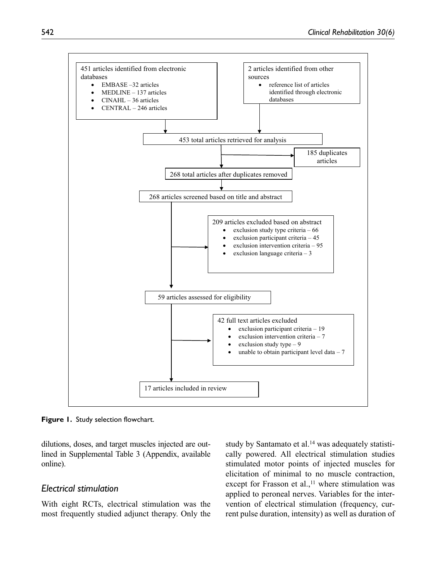

**Figure 1.** Study selection flowchart.

dilutions, doses, and target muscles injected are outlined in Supplemental Table 3 (Appendix, available online).

### *Electrical stimulation*

With eight RCTs, electrical stimulation was the most frequently studied adjunct therapy. Only the study by Santamato et al.<sup>14</sup> was adequately statistically powered. All electrical stimulation studies stimulated motor points of injected muscles for elicitation of minimal to no muscle contraction, except for Frasson et al.,<sup>11</sup> where stimulation was applied to peroneal nerves. Variables for the intervention of electrical stimulation (frequency, current pulse duration, intensity) as well as duration of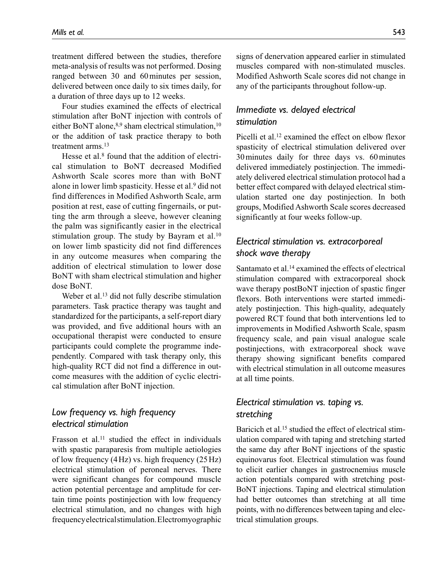treatment differed between the studies, therefore meta-analysis of results was not performed. Dosing ranged between 30 and 60minutes per session, delivered between once daily to six times daily, for a duration of three days up to 12 weeks.

Four studies examined the effects of electrical stimulation after BoNT injection with controls of either BoNT alone, $8,9$  sham electrical stimulation,  $10$ or the addition of task practice therapy to both treatment arms<sup>13</sup>

Hesse et al.<sup>8</sup> found that the addition of electrical stimulation to BoNT decreased Modified Ashworth Scale scores more than with BoNT alone in lower limb spasticity. Hesse et al.9 did not find differences in Modified Ashworth Scale, arm position at rest, ease of cutting fingernails, or putting the arm through a sleeve, however cleaning the palm was significantly easier in the electrical stimulation group. The study by Bayram et al. $10$ on lower limb spasticity did not find differences in any outcome measures when comparing the addition of electrical stimulation to lower dose BoNT with sham electrical stimulation and higher dose BoNT.

Weber et al.<sup>13</sup> did not fully describe stimulation parameters. Task practice therapy was taught and standardized for the participants, a self-report diary was provided, and five additional hours with an occupational therapist were conducted to ensure participants could complete the programme independently. Compared with task therapy only, this high-quality RCT did not find a difference in outcome measures with the addition of cyclic electrical stimulation after BoNT injection.

# *Low frequency vs. high frequency electrical stimulation*

Frasson et al.<sup>11</sup> studied the effect in individuals with spastic paraparesis from multiple aetiologies of low frequency (4Hz) vs. high frequency (25Hz) electrical stimulation of peroneal nerves. There were significant changes for compound muscle action potential percentage and amplitude for certain time points postinjection with low frequency electrical stimulation, and no changes with high frequency electrical stimulation. Electromyographic signs of denervation appeared earlier in stimulated muscles compared with non-stimulated muscles. Modified Ashworth Scale scores did not change in any of the participants throughout follow-up.

# *Immediate vs. delayed electrical stimulation*

Picelli et al.<sup>12</sup> examined the effect on elbow flexor spasticity of electrical stimulation delivered over 30minutes daily for three days vs. 60minutes delivered immediately postinjection. The immediately delivered electrical stimulation protocol had a better effect compared with delayed electrical stimulation started one day postinjection. In both groups, Modified Ashworth Scale scores decreased significantly at four weeks follow-up.

# *Electrical stimulation vs. extracorporeal shock wave therapy*

Santamato et al.14 examined the effects of electrical stimulation compared with extracorporeal shock wave therapy postBoNT injection of spastic finger flexors. Both interventions were started immediately postinjection. This high-quality, adequately powered RCT found that both interventions led to improvements in Modified Ashworth Scale, spasm frequency scale, and pain visual analogue scale postinjections, with extracorporeal shock wave therapy showing significant benefits compared with electrical stimulation in all outcome measures at all time points.

# *Electrical stimulation vs. taping vs. stretching*

Baricich et al.<sup>15</sup> studied the effect of electrical stimulation compared with taping and stretching started the same day after BoNT injections of the spastic equinovarus foot. Electrical stimulation was found to elicit earlier changes in gastrocnemius muscle action potentials compared with stretching post-BoNT injections. Taping and electrical stimulation had better outcomes than stretching at all time points, with no differences between taping and electrical stimulation groups.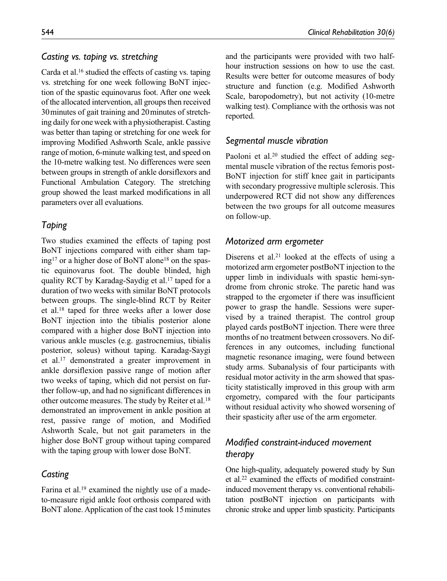## *Casting vs. taping vs. stretching*

Carda et al.16 studied the effects of casting vs. taping vs. stretching for one week following BoNT injection of the spastic equinovarus foot. After one week of the allocated intervention, all groups then received 30minutes of gait training and 20minutes of stretching daily for one week with a physiotherapist. Casting was better than taping or stretching for one week for improving Modified Ashworth Scale, ankle passive range of motion, 6-minute walking test, and speed on the 10-metre walking test. No differences were seen between groups in strength of ankle dorsiflexors and Functional Ambulation Category. The stretching group showed the least marked modifications in all parameters over all evaluations.

## *Taping*

Two studies examined the effects of taping post BoNT injections compared with either sham tap $ing<sup>17</sup>$  or a higher dose of BoNT alone<sup>18</sup> on the spastic equinovarus foot. The double blinded, high quality RCT by Karadag-Saydig et al.17 taped for a duration of two weeks with similar BoNT protocols between groups. The single-blind RCT by Reiter et al.18 taped for three weeks after a lower dose BoNT injection into the tibialis posterior alone compared with a higher dose BoNT injection into various ankle muscles (e.g. gastrocnemius, tibialis posterior, soleus) without taping. Karadag-Saygi et al.17 demonstrated a greater improvement in ankle dorsiflexion passive range of motion after two weeks of taping, which did not persist on further follow-up, and had no significant differences in other outcome measures. The study by Reiter et al.<sup>18</sup> demonstrated an improvement in ankle position at rest, passive range of motion, and Modified Ashworth Scale, but not gait parameters in the higher dose BoNT group without taping compared with the taping group with lower dose BoNT.

# *Casting*

Farina et al.19 examined the nightly use of a madeto-measure rigid ankle foot orthosis compared with BoNT alone. Application of the cast took 15minutes and the participants were provided with two halfhour instruction sessions on how to use the cast. Results were better for outcome measures of body structure and function (e.g. Modified Ashworth Scale, baropodometry), but not activity (10-metre walking test). Compliance with the orthosis was not reported.

### *Segmental muscle vibration*

Paoloni et al.<sup>20</sup> studied the effect of adding segmental muscle vibration of the rectus femoris post-BoNT injection for stiff knee gait in participants with secondary progressive multiple sclerosis. This underpowered RCT did not show any differences between the two groups for all outcome measures on follow-up.

### *Motorized arm ergometer*

Diserens et al.21 looked at the effects of using a motorized arm ergometer postBoNT injection to the upper limb in individuals with spastic hemi-syndrome from chronic stroke. The paretic hand was strapped to the ergometer if there was insufficient power to grasp the handle. Sessions were supervised by a trained therapist. The control group played cards postBoNT injection. There were three months of no treatment between crossovers. No differences in any outcomes, including functional magnetic resonance imaging, were found between study arms. Subanalysis of four participants with residual motor activity in the arm showed that spasticity statistically improved in this group with arm ergometry, compared with the four participants without residual activity who showed worsening of their spasticity after use of the arm ergometer.

# *Modified constraint-induced movement therapy*

One high-quality, adequately powered study by Sun et al.22 examined the effects of modified constraintinduced movement therapy vs. conventional rehabilitation postBoNT injection on participants with chronic stroke and upper limb spasticity. Participants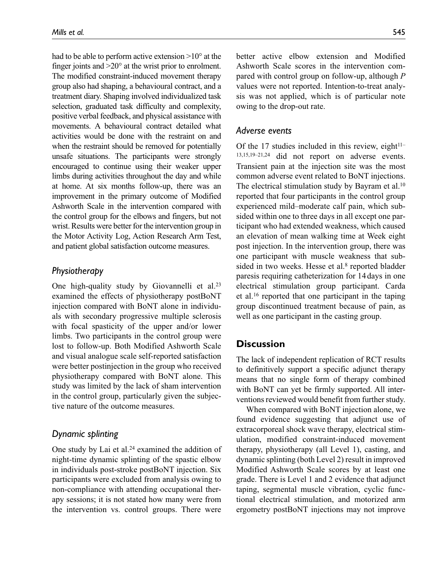had to be able to perform active extension >10° at the finger joints and >20° at the wrist prior to enrolment. The modified constraint-induced movement therapy group also had shaping, a behavioural contract, and a treatment diary. Shaping involved individualized task selection, graduated task difficulty and complexity, positive verbal feedback, and physical assistance with movements. A behavioural contract detailed what activities would be done with the restraint on and when the restraint should be removed for potentially unsafe situations. The participants were strongly encouraged to continue using their weaker upper limbs during activities throughout the day and while at home. At six months follow-up, there was an improvement in the primary outcome of Modified Ashworth Scale in the intervention compared with the control group for the elbows and fingers, but not wrist. Results were better for the intervention group in the Motor Activity Log, Action Research Arm Test, and patient global satisfaction outcome measures.

### *Physiotherapy*

One high-quality study by Giovannelli et al.<sup>23</sup> examined the effects of physiotherapy postBoNT injection compared with BoNT alone in individuals with secondary progressive multiple sclerosis with focal spasticity of the upper and/or lower limbs. Two participants in the control group were lost to follow-up. Both Modified Ashworth Scale and visual analogue scale self-reported satisfaction were better postinjection in the group who received physiotherapy compared with BoNT alone. This study was limited by the lack of sham intervention in the control group, particularly given the subjective nature of the outcome measures.

#### *Dynamic splinting*

One study by Lai et al.<sup>24</sup> examined the addition of night-time dynamic splinting of the spastic elbow in individuals post-stroke postBoNT injection. Six participants were excluded from analysis owing to non-compliance with attending occupational therapy sessions; it is not stated how many were from the intervention vs. control groups. There were better active elbow extension and Modified Ashworth Scale scores in the intervention compared with control group on follow-up, although *P* values were not reported. Intention-to-treat analysis was not applied, which is of particular note owing to the drop-out rate.

# *Adverse events*

Of the 17 studies included in this review, eight $11$ – 13,15,19–21,24 did not report on adverse events. Transient pain at the injection site was the most common adverse event related to BoNT injections. The electrical stimulation study by Bayram et al.<sup>10</sup> reported that four participants in the control group experienced mild–moderate calf pain, which subsided within one to three days in all except one participant who had extended weakness, which caused an elevation of mean walking time at Week eight post injection. In the intervention group, there was one participant with muscle weakness that subsided in two weeks. Hesse et al.<sup>8</sup> reported bladder paresis requiring catheterization for 14days in one electrical stimulation group participant. Carda et al.16 reported that one participant in the taping group discontinued treatment because of pain, as well as one participant in the casting group.

# **Discussion**

The lack of independent replication of RCT results to definitively support a specific adjunct therapy means that no single form of therapy combined with BoNT can yet be firmly supported. All interventions reviewed would benefit from further study.

When compared with BoNT injection alone, we found evidence suggesting that adjunct use of extracorporeal shock wave therapy, electrical stimulation, modified constraint-induced movement therapy, physiotherapy (all Level 1), casting, and dynamic splinting (both Level 2) result in improved Modified Ashworth Scale scores by at least one grade. There is Level 1 and 2 evidence that adjunct taping, segmental muscle vibration, cyclic functional electrical stimulation, and motorized arm ergometry postBoNT injections may not improve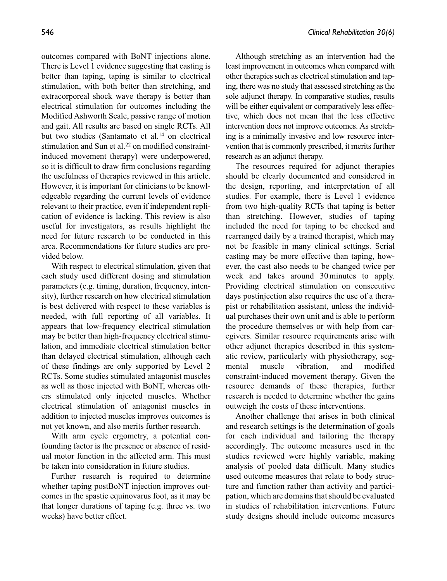outcomes compared with BoNT injections alone. There is Level 1 evidence suggesting that casting is better than taping, taping is similar to electrical stimulation, with both better than stretching, and extracorporeal shock wave therapy is better than electrical stimulation for outcomes including the Modified Ashworth Scale, passive range of motion and gait. All results are based on single RCTs. All but two studies (Santamato et al.<sup>14</sup> on electrical stimulation and Sun et al.<sup>22</sup> on modified constraintinduced movement therapy) were underpowered, so it is difficult to draw firm conclusions regarding the usefulness of therapies reviewed in this article. However, it is important for clinicians to be knowledgeable regarding the current levels of evidence relevant to their practice, even if independent replication of evidence is lacking. This review is also useful for investigators, as results highlight the need for future research to be conducted in this area. Recommendations for future studies are provided below.

With respect to electrical stimulation, given that each study used different dosing and stimulation parameters (e.g. timing, duration, frequency, intensity), further research on how electrical stimulation is best delivered with respect to these variables is needed, with full reporting of all variables. It appears that low-frequency electrical stimulation may be better than high-frequency electrical stimulation, and immediate electrical stimulation better than delayed electrical stimulation, although each of these findings are only supported by Level 2 RCTs. Some studies stimulated antagonist muscles as well as those injected with BoNT, whereas others stimulated only injected muscles. Whether electrical stimulation of antagonist muscles in addition to injected muscles improves outcomes is not yet known, and also merits further research.

With arm cycle ergometry, a potential confounding factor is the presence or absence of residual motor function in the affected arm. This must be taken into consideration in future studies.

Further research is required to determine whether taping postBoNT injection improves outcomes in the spastic equinovarus foot, as it may be that longer durations of taping (e.g. three vs. two weeks) have better effect.

Although stretching as an intervention had the least improvement in outcomes when compared with other therapies such as electrical stimulation and taping, there was no study that assessed stretching as the sole adjunct therapy. In comparative studies, results will be either equivalent or comparatively less effective, which does not mean that the less effective intervention does not improve outcomes. As stretching is a minimally invasive and low resource intervention that is commonly prescribed, it merits further research as an adjunct therapy.

The resources required for adjunct therapies should be clearly documented and considered in the design, reporting, and interpretation of all studies. For example, there is Level 1 evidence from two high-quality RCTs that taping is better than stretching. However, studies of taping included the need for taping to be checked and rearranged daily by a trained therapist, which may not be feasible in many clinical settings. Serial casting may be more effective than taping, however, the cast also needs to be changed twice per week and takes around 30 minutes to apply. Providing electrical stimulation on consecutive days postinjection also requires the use of a therapist or rehabilitation assistant, unless the individual purchases their own unit and is able to perform the procedure themselves or with help from caregivers. Similar resource requirements arise with other adjunct therapies described in this systematic review, particularly with physiotherapy, segmental muscle vibration, and modified constraint-induced movement therapy. Given the resource demands of these therapies, further research is needed to determine whether the gains outweigh the costs of these interventions.

Another challenge that arises in both clinical and research settings is the determination of goals for each individual and tailoring the therapy accordingly. The outcome measures used in the studies reviewed were highly variable, making analysis of pooled data difficult. Many studies used outcome measures that relate to body structure and function rather than activity and participation, which are domains that should be evaluated in studies of rehabilitation interventions. Future study designs should include outcome measures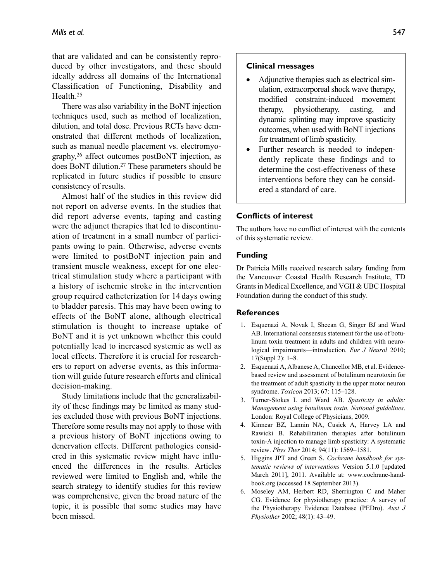that are validated and can be consistently reproduced by other investigators, and these should ideally address all domains of the International Classification of Functioning, Disability and Health.25

There was also variability in the BoNT injection techniques used, such as method of localization, dilution, and total dose. Previous RCTs have demonstrated that different methods of localization, such as manual needle placement vs. electromyography,26 affect outcomes postBoNT injection, as does BoNT dilution.27 These parameters should be replicated in future studies if possible to ensure consistency of results.

Almost half of the studies in this review did not report on adverse events. In the studies that did report adverse events, taping and casting were the adjunct therapies that led to discontinuation of treatment in a small number of participants owing to pain. Otherwise, adverse events were limited to postBoNT injection pain and transient muscle weakness, except for one electrical stimulation study where a participant with a history of ischemic stroke in the intervention group required catheterization for 14 days owing to bladder paresis. This may have been owing to effects of the BoNT alone, although electrical stimulation is thought to increase uptake of BoNT and it is yet unknown whether this could potentially lead to increased systemic as well as local effects. Therefore it is crucial for researchers to report on adverse events, as this information will guide future research efforts and clinical decision-making.

Study limitations include that the generalizability of these findings may be limited as many studies excluded those with previous BoNT injections. Therefore some results may not apply to those with a previous history of BoNT injections owing to denervation effects. Different pathologies considered in this systematic review might have influenced the differences in the results. Articles reviewed were limited to English and, while the search strategy to identify studies for this review was comprehensive, given the broad nature of the topic, it is possible that some studies may have been missed.

### **Clinical messages**

- Adjunctive therapies such as electrical simulation, extracorporeal shock wave therapy, modified constraint-induced movement therapy, physiotherapy, casting, and dynamic splinting may improve spasticity outcomes, when used with BoNT injections for treatment of limb spasticity.
- Further research is needed to independently replicate these findings and to determine the cost-effectiveness of these interventions before they can be considered a standard of care.

### **Conflicts of interest**

The authors have no conflict of interest with the contents of this systematic review.

#### **Funding**

Dr Patricia Mills received research salary funding from the Vancouver Coastal Health Research Institute, TD Grants in Medical Excellence, and VGH & UBC Hospital Foundation during the conduct of this study.

#### **References**

- 1. Esquenazi A, Novak I, Sheean G, Singer BJ and Ward AB. International consensus statement for the use of botulinum toxin treatment in adults and children with neurological impairments—introduction. *Eur J Neurol* 2010; 17(Suppl 2): 1–8.
- 2. Esquenazi A, Albanese A, Chancellor MB, et al. Evidencebased review and assessment of botulinum neurotoxin for the treatment of adult spasticity in the upper motor neuron syndrome. *Toxicon* 2013; 67: 115–128.
- 3. Turner-Stokes L and Ward AB. *Spasticity in adults: Management using botulinum toxin. National guidelines*. London: Royal College of Physicians, 2009.
- 4. Kinnear BZ, Lannin NA, Cusick A, Harvey LA and Rawicki B. Rehabilitation therapies after botulinum toxin-A injection to manage limb spasticity: A systematic review. *Phys Ther* 2014; 94(11): 1569–1581.
- 5. Higgins JPT and Green S. *Cochrane handbook for systematic reviews of interventions* Version 5.1.0 [updated March 2011], 2011. Available at: [www.cochrane-hand](www.cochrane-handbook.org)[book.org](www.cochrane-handbook.org) (accessed 18 September 2013).
- 6. Moseley AM, Herbert RD, Sherrington C and Maher CG. Evidence for physiotherapy practice: A survey of the Physiotherapy Evidence Database (PEDro). *Aust J Physiother* 2002; 48(1): 43–49.